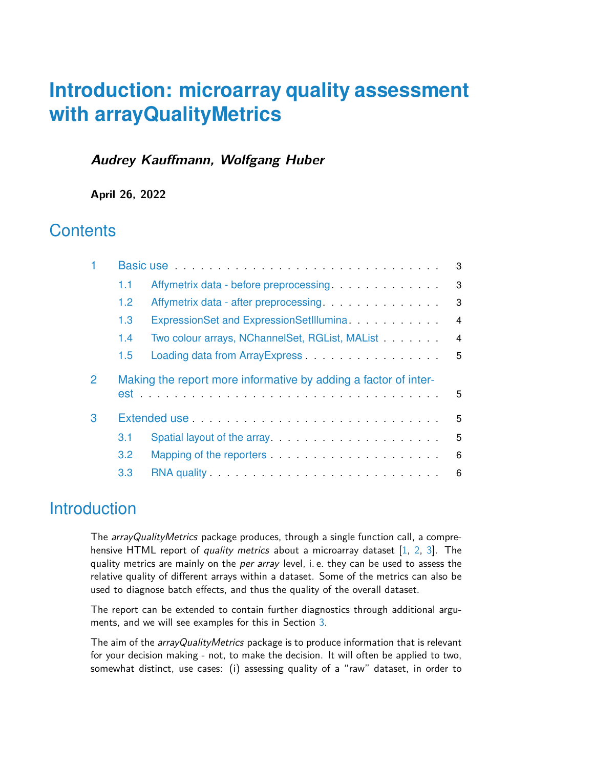# **Introduction: microarray quality assessment with arrayQualityMetrics**

### **Audrey Kauffmann, Wolfgang Huber**

**April 26, 2022**

## **Contents**

|   | Basic use <i>and a series of the series of the series of the series</i> |                                                                                        |                |  |  |  |  |  |
|---|-------------------------------------------------------------------------|----------------------------------------------------------------------------------------|----------------|--|--|--|--|--|
|   | 1.1                                                                     | Affymetrix data - before preprocessing.                                                | 3              |  |  |  |  |  |
|   | 1.2 <sub>1</sub>                                                        |                                                                                        | 3              |  |  |  |  |  |
|   | 1.3                                                                     | ExpressionSet and ExpressionSetIllumina <b>ExpressionSet and ExpressionSetIllumina</b> | $\overline{4}$ |  |  |  |  |  |
|   | Two colour arrays, NChannelSet, RGList, MAList<br>1.4                   |                                                                                        |                |  |  |  |  |  |
|   | 1.5                                                                     |                                                                                        | 5              |  |  |  |  |  |
| 2 |                                                                         | Making the report more informative by adding a factor of inter-<br>5                   |                |  |  |  |  |  |
| 3 | 5                                                                       |                                                                                        |                |  |  |  |  |  |
|   | 3.1                                                                     | Spatial layout of the array entitled and the spatial layout of the array               | 5              |  |  |  |  |  |
|   | 3.2                                                                     |                                                                                        | 6              |  |  |  |  |  |
|   | 3.3                                                                     |                                                                                        | 6              |  |  |  |  |  |

# **Introduction**

The arrayQualityMetrics package produces, through a single function call, a comprehensive HTML report of *quality metrics* about a microarray dataset  $[1, 2, 3]$  $[1, 2, 3]$  $[1, 2, 3]$  $[1, 2, 3]$  $[1, 2, 3]$ . The quality metrics are mainly on the per array level, i.e. they can be used to assess the relative quality of different arrays within a dataset. Some of the metrics can also be used to diagnose batch effects, and thus the quality of the overall dataset.

The report can be extended to contain further diagnostics through additional arguments, and we will see examples for this in Section [3.](#page-4-1)

The aim of the *arrayQualityMetrics* package is to produce information that is relevant for your decision making - not, to make the decision. It will often be applied to two, somewhat distinct, use cases: (i) assessing quality of a "raw" dataset, in order to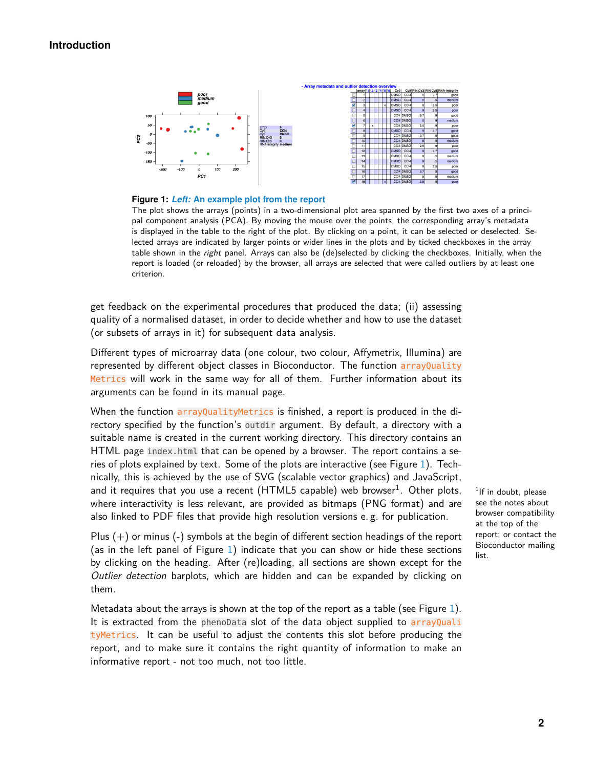#### **Introduction**

<span id="page-1-0"></span>

**Figure 1:** *Left:* **An example plot from the report**

The plot shows the arrays (points) in a two-dimensional plot area spanned by the first two axes of a principal component analysis (PCA). By moving the mouse over the points, the corresponding array's metadata is displayed in the table to the right of the plot. By clicking on a point, it can be selected or deselected. Selected arrays are indicated by larger points or wider lines in the plots and by ticked checkboxes in the array table shown in the *right* panel. Arrays can also be (de)selected by clicking the checkboxes. Initially, when the report is loaded (or reloaded) by the browser, all arrays are selected that were called outliers by at least one criterion.

get feedback on the experimental procedures that produced the data; (ii) assessing quality of a normalised dataset, in order to decide whether and how to use the dataset (or subsets of arrays in it) for subsequent data analysis.

Different types of microarray data (one colour, two colour, Affymetrix, Illumina) are represented by different object classes in Bioconductor. The function arrayQuality Metrics will work in the same way for all of them. Further information about its arguments can be found in its manual page.

When the function arrayQualityMetrics is finished, a report is produced in the directory specified by the function's outdir argument. By default, a directory with a suitable name is created in the current working directory. This directory contains an HTML page index.html that can be opened by a browser. The report contains a series of plots explained by text. Some of the plots are interactive (see Figure [1\)](#page-1-0). Technically, this is achieved by the use of SVG (scalable vector graphics) and JavaScript, and it requires that you use a recent (HTML5 capable) web browser $^1$ . Other plots, where interactivity is less relevant, are provided as bitmaps (PNG format) and are also linked to PDF files that provide high resolution versions e. g. for publication.

Plus  $(+)$  or minus  $(-)$  symbols at the begin of different section headings of the report (as in the left panel of Figure [1\)](#page-1-0) indicate that you can show or hide these sections by clicking on the heading. After (re)loading, all sections are shown except for the Outlier detection barplots, which are hidden and can be expanded by clicking on them.

Metadata about the arrays is shown at the top of the report as a table (see Figure [1\)](#page-1-0). It is extracted from the phenoData slot of the data object supplied to arrayQuali tyMetrics. It can be useful to adjust the contents this slot before producing the report, and to make sure it contains the right quantity of information to make an informative report - not too much, not too little.

<sup>1</sup>If in doubt, please see the notes about browser compatibility at the top of the report; or contact the Bioconductor mailing list.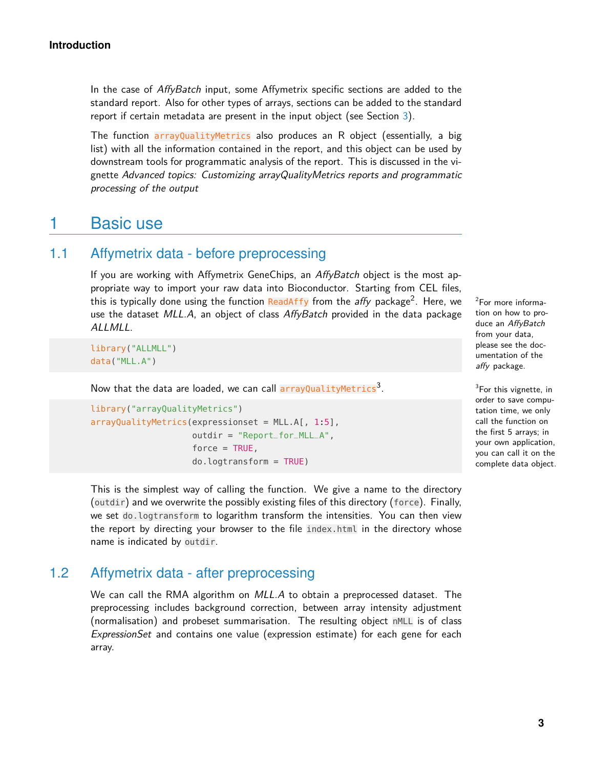In the case of AffyBatch input, some Affymetrix specific sections are added to the standard report. Also for other types of arrays, sections can be added to the standard report if certain metadata are present in the input object (see Section [3\)](#page-4-1).

The function arrayQualityMetrics also produces an R object (essentially, a big list) with all the information contained in the report, and this object can be used by downstream tools for programmatic analysis of the report. This is discussed in the vignette Advanced topics: Customizing arrayQualityMetrics reports and programmatic processing of the output

## <span id="page-2-0"></span>1 Basic use

## 1.1 Affymetrix data - before preprocessing

<span id="page-2-1"></span>If you are working with Affymetrix GeneChips, an AffyBatch object is the most appropriate way to import your raw data into Bioconductor. Starting from CEL files, this is typically done using the function <mark>ReadAffy</mark> from the *affy* package<sup>2</sup>. Here, we use the dataset MLL.A, an object of class AffyBatch provided in the data package ALLMLL.

library("ALLMLL") data("MLL.A")

Now that the data are loaded, we can call arrayQualityMetrics<sup>3</sup>.

```
library("arrayQualityMetrics")
arrayQualityMetrics(expressionset = MLL.A[, 1:5],outdir = "Report_for_MLL_A",
                    force = TRUE,do.logtransform = TRUE)
```
<sup>2</sup>For more information on how to produce an AffyBatch from your data, please see the documentation of the affy package.

 $3$ For this vignette, in order to save computation time, we only call the function on the first 5 arrays; in your own application, you can call it on the complete data object.

This is the simplest way of calling the function. We give a name to the directory (outdir) and we overwrite the possibly existing files of this directory (force). Finally, we set do.logtransform to logarithm transform the intensities. You can then view the report by directing your browser to the file index.html in the directory whose name is indicated by outdir.

### 1.2 Affymetrix data - after preprocessing

<span id="page-2-2"></span>We can call the RMA algorithm on MLL.A to obtain a preprocessed dataset. The preprocessing includes background correction, between array intensity adjustment (normalisation) and probeset summarisation. The resulting object nMLL is of class ExpressionSet and contains one value (expression estimate) for each gene for each array.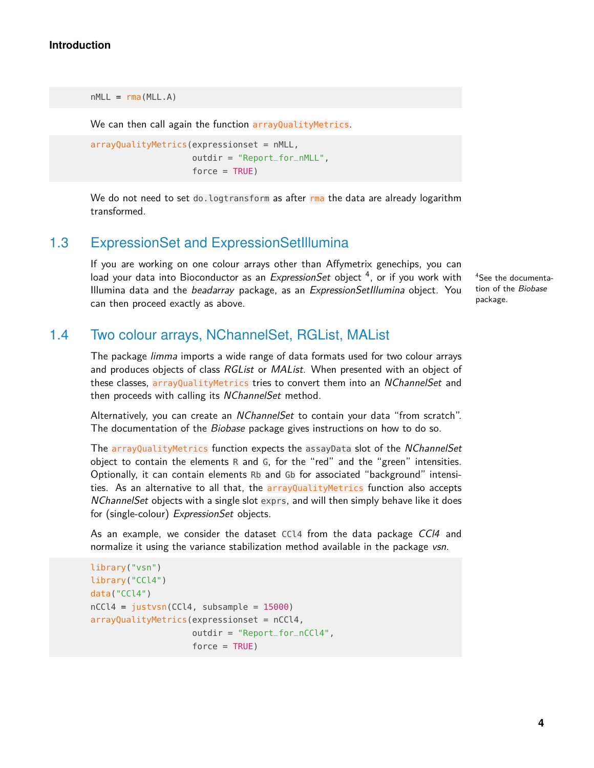```
nMLL = rma(MLL.A)
```
We can then call again the function arrayQualityMetrics.

```
arrayQualityMetrics(expressionset = nMLL,
                    outdir = "Report_for_nMLL",
                    force = TRUE)
```
<span id="page-3-0"></span>We do not need to set do. logtransform as after rma the data are already logarithm transformed.

## 1.3 ExpressionSet and ExpressionSetIllumina

If you are working on one colour arrays other than Affymetrix genechips, you can load your data into Bioconductor as an *ExpressionSet* object <sup>4</sup>, or if you work with Illumina data and the *beadarray* package, as an *ExpressionSetIllumina* object. You can then proceed exactly as above.

<sup>4</sup>See the documentation of the Biobase package.

### 1.4 Two colour arrays, NChannelSet, RGList, MAList

<span id="page-3-1"></span>The package limma imports a wide range of data formats used for two colour arrays and produces objects of class RGList or MAList. When presented with an object of these classes, arrayQualityMetrics tries to convert them into an NChannelSet and then proceeds with calling its NChannelSet method.

Alternatively, you can create an NChannelSet to contain your data "from scratch". The documentation of the Biobase package gives instructions on how to do so.

The arrayQualityMetrics function expects the assayData slot of the NChannelSet object to contain the elements R and G, for the "red" and the "green" intensities. Optionally, it can contain elements Rb and Gb for associated "background" intensities. As an alternative to all that, the arrayQualityMetrics function also accepts NChannelSet objects with a single slot exprs, and will then simply behave like it does for (single-colour) ExpressionSet objects.

As an example, we consider the dataset CCL4 from the data package CCl4 and normalize it using the variance stabilization method available in the package vsn.

```
library("vsn")
library("CCl4")
data("CCl4")
nCCl4 = justvsn(CCl4, subsample = 15000)
arrayQualityMetrics(expressionset = nCCl4,
                    outdir = "Report_for_nCCl4",
                    force = TRUE)
```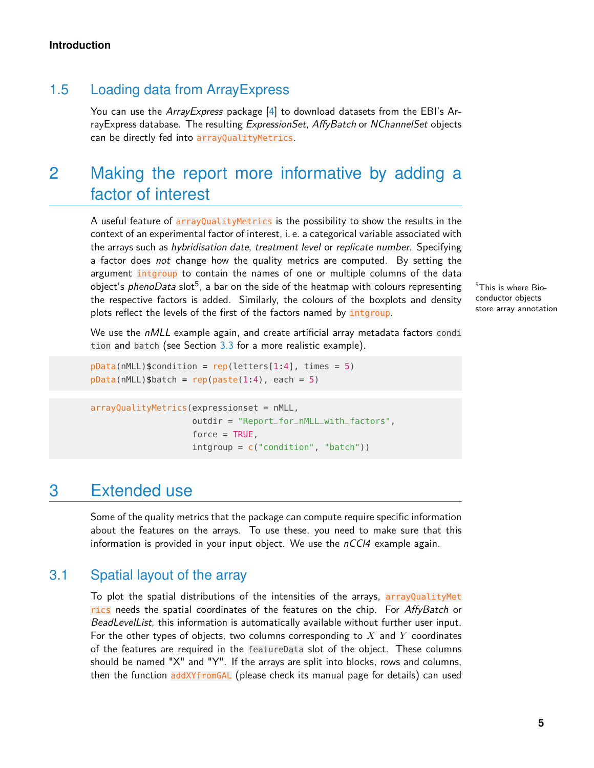## 1.5 Loading data from ArrayExpress

<span id="page-4-0"></span>You can use the ArrayExpress package [\[4\]](#page-8-0) to download datasets from the EBI's ArrayExpress database. The resulting ExpressionSet, AffyBatch or NChannelSet objects can be directly fed into arrayQualityMetrics.

# 2 Making the report more informative by adding a factor of interest

A useful feature of arrayQualityMetrics is the possibility to show the results in the context of an experimental factor of interest, i. e. a categorical variable associated with the arrays such as hybridisation date, treatment level or replicate number. Specifying a factor does not change how the quality metrics are computed. By setting the argument intgroup to contain the names of one or multiple columns of the data object's  ${\it phenoData}$  slot $^5$ , a bar on the side of the heatmap with colours representing the respective factors is added. Similarly, the colours of the boxplots and density plots reflect the levels of the first of the factors named by intgroup.

 $5$ This is where Bioconductor objects store array annotation

We use the  $nMLL$  example again, and create artificial array metadata factors condi tion and batch (see Section [3.3](#page-5-1) for a more realistic example).

```
pData(mML)$condition = rep(lefters[1:4], times = 5)pData(nMLL)$batch = rep(paste(1:4), each = 5)
```

```
arrayQualityMetrics(expressionset = nMLL,
                    outdir = "Report_for_nMLL_with_factors",
                    force = TRUE,intgroup = c("condition", "batch"))
```
# <span id="page-4-1"></span>3 Extended use

<span id="page-4-2"></span>Some of the quality metrics that the package can compute require specific information about the features on the arrays. To use these, you need to make sure that this information is provided in your input object. We use the  $nCCl4$  example again.

## 3.1 Spatial layout of the array

To plot the spatial distributions of the intensities of the arrays, arrayQualityMet rics needs the spatial coordinates of the features on the chip. For AffyBatch or BeadLevelList, this information is automatically available without further user input. For the other types of objects, two columns corresponding to  $X$  and  $Y$  coordinates of the features are required in the featureData slot of the object. These columns should be named "X" and "Y". If the arrays are split into blocks, rows and columns, then the function addXYfromGAL (please check its manual page for details) can used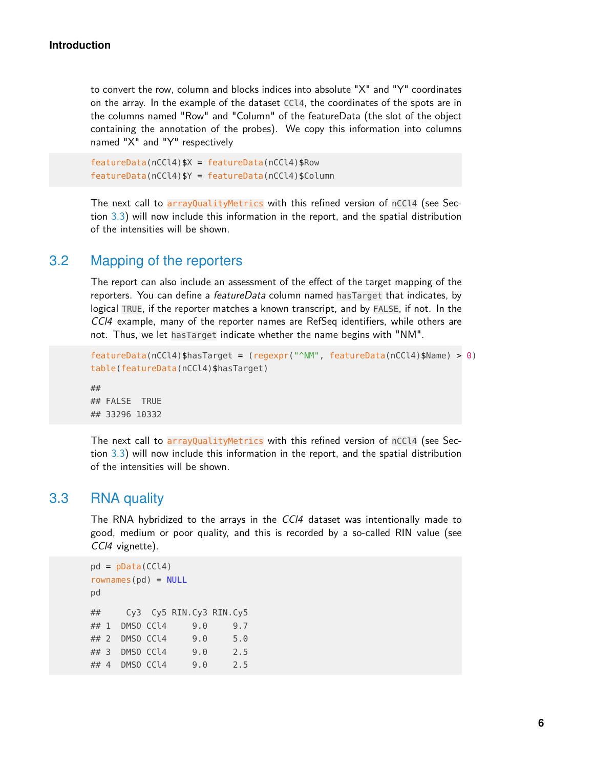to convert the row, column and blocks indices into absolute "X" and "Y" coordinates on the array. In the example of the dataset CCl4, the coordinates of the spots are in the columns named "Row" and "Column" of the featureData (the slot of the object containing the annotation of the probes). We copy this information into columns named "X" and "Y" respectively

```
featureData(nCCl4)$X = featureData(nCCl4)$Row
featureData(nCCl4)$Y = featureData(nCCl4)$Column
```
<span id="page-5-0"></span>The next call to arrayQualityMetrics with this refined version of nCCl4 (see Section [3.3\)](#page-5-1) will now include this information in the report, and the spatial distribution of the intensities will be shown.

## 3.2 Mapping of the reporters

The report can also include an assessment of the effect of the target mapping of the reporters. You can define a *featureData* column named hasTarget that indicates, by logical TRUE, if the reporter matches a known transcript, and by FALSE, if not. In the CCl4 example, many of the reporter names are RefSeq identifiers, while others are not. Thus, we let hasTarget indicate whether the name begins with "NM".

```
featureData(nCCl4)$hasTarget = (regexpr("^NM", featureData(nCCl4)$Name) > 0)
table(featureData(nCCl4)$hasTarget)
##
```
## FALSE TRUE ## 33296 10332

<span id="page-5-1"></span>The next call to arrayQualityMetrics with this refined version of nCCl4 (see Section [3.3\)](#page-5-1) will now include this information in the report, and the spatial distribution of the intensities will be shown.

#### 3.3 RNA quality

The RNA hybridized to the arrays in the CCl4 dataset was intentionally made to good, medium or poor quality, and this is recorded by a so-called RIN value (see CCI4 vignette).

```
pd = pData(CCl4)rownames(pd) = NULLpd
## Cy3 Cy5 RIN.Cy3 RIN.Cy5
## 1 DMSO CCl4 9.0 9.7
## 2 DMSO CCl4 9.0 5.0
## 3 DMSO CCl4 9.0 2.5
## 4 DMSO CCl4 9.0 2.5
```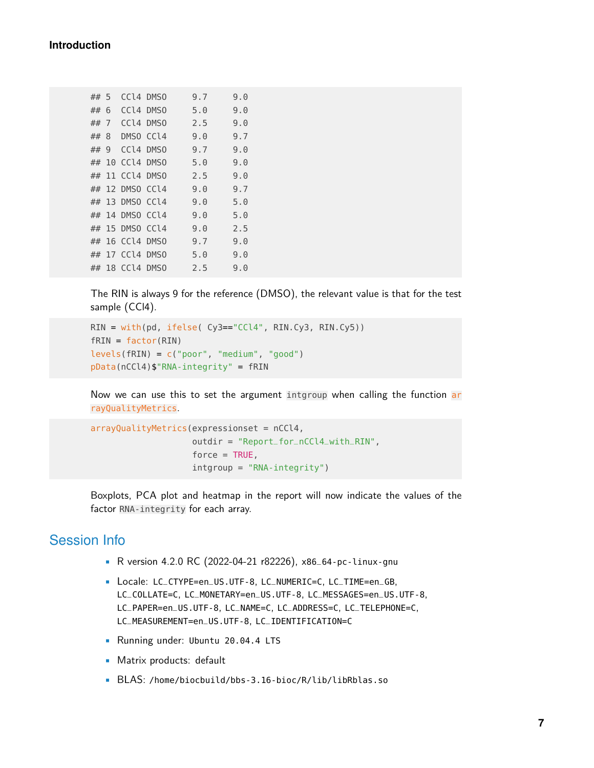| ## 5 |    |                 | CCl4 DMS0 | 9.7 | 9.0 |
|------|----|-----------------|-----------|-----|-----|
| ## 6 |    | CCl4 DMS0       |           | 5.0 | 9.0 |
| ##   | 7  | CCl4 DMSO       |           | 2.5 | 9.0 |
| ##   | 8  | DMSO CCl4       |           | 9.0 | 9.7 |
| ##   | 9  | CCl4 DMSO       |           | 9.7 | 9.0 |
| ##   | 10 | CCl4 DMSO       |           | 5.0 | 9.0 |
| ##   | 11 | CCl4 DMS0       |           | 2.5 | 9.0 |
| ##   |    | 12 DMSO CCl4    |           | 9.0 | 9.7 |
| ##   |    | 13 DMSO CCl4    |           | 9.0 | 5.0 |
|      |    | ## 14 DMSO CCl4 |           | 9.0 | 5.0 |
| ##   | 15 | DMSO CCl4       |           | 9.0 | 2.5 |
| ##   |    | 16 CCl4 DMS0    |           | 9.7 | 9.0 |
| ##   |    | 17 CCl4 DMS0    |           | 5.0 | 9.0 |
|      |    | ## 18 CCl4 DMS0 |           | 2.5 | 9.0 |

The RIN is always 9 for the reference (DMSO), the relevant value is that for the test sample (CCl4).

```
RIN = with(pd, ifelse( Cy3=="CCl4", RIN.Cy3, RIN.Cy5))
fRIN = factor(RIN)
levels(fRIN) = c("poor", "medium", "good")
pData(nCCl4)$"RNA-integrity" = fRIN
```
Now we can use this to set the argument intgroup when calling the function ar rayQualityMetrics.

```
arrayQualityMetrics(expressionset = nCCl4,
                    outdir = "Report_for_nCCl4_with_RIN",
                    force = TRUE,intgroup = "RNA-integrity")
```
Boxplots, PCA plot and heatmap in the report will now indicate the values of the factor RNA-integrity for each array.

## Session Info

- R version 4.2.0 RC (2022-04-21 r82226), x86\_64-pc-linux-gnu
- Locale: LC\_CTYPE=en\_US.UTF-8, LC\_NUMERIC=C, LC\_TIME=en\_GB, LC\_COLLATE=C, LC\_MONETARY=en\_US.UTF-8, LC\_MESSAGES=en\_US.UTF-8, LC\_PAPER=en\_US.UTF-8, LC\_NAME=C, LC\_ADDRESS=C, LC\_TELEPHONE=C, LC\_MEASUREMENT=en\_US.UTF-8, LC\_IDENTIFICATION=C
- Running under: Ubuntu 20.04.4 LTS
- Matrix products: default
- BLAS: /home/biocbuild/bbs-3.16-bioc/R/lib/libRblas.so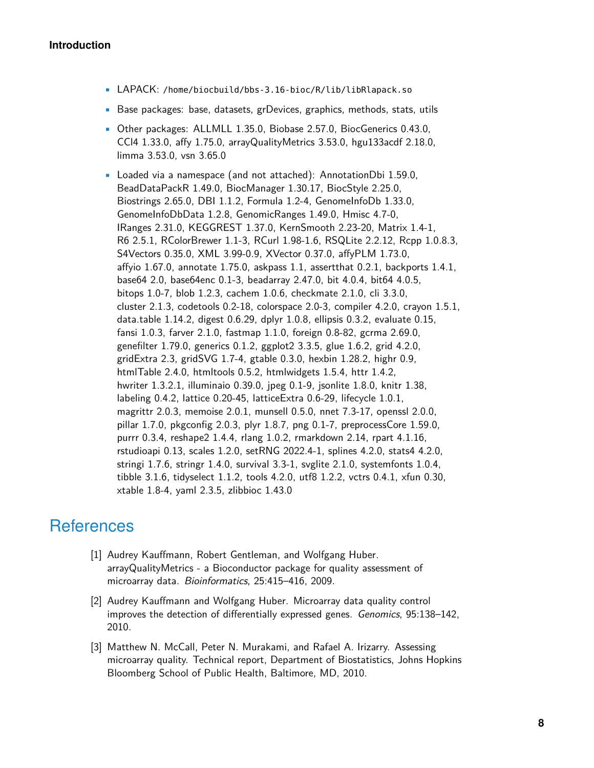- LAPACK: /home/biocbuild/bbs-3.16-bioc/R/lib/libRlapack.so
- Base packages: base, datasets, grDevices, graphics, methods, stats, utils
- Other packages: ALLMLL 1.35.0, Biobase 2.57.0, BiocGenerics 0.43.0, CCl4 1.33.0, affy 1.75.0, arrayQualityMetrics 3.53.0, hgu133acdf 2.18.0, limma 3.53.0, vsn 3.65.0
- Loaded via a namespace (and not attached): AnnotationDbi 1.59.0, BeadDataPackR 1.49.0, BiocManager 1.30.17, BiocStyle 2.25.0, Biostrings 2.65.0, DBI 1.1.2, Formula 1.2-4, GenomeInfoDb 1.33.0, GenomeInfoDbData 1.2.8, GenomicRanges 1.49.0, Hmisc 4.7-0, IRanges 2.31.0, KEGGREST 1.37.0, KernSmooth 2.23-20, Matrix 1.4-1, R6 2.5.1, RColorBrewer 1.1-3, RCurl 1.98-1.6, RSQLite 2.2.12, Rcpp 1.0.8.3, S4Vectors 0.35.0, XML 3.99-0.9, XVector 0.37.0, affyPLM 1.73.0, affyio 1.67.0, annotate 1.75.0, askpass 1.1, assertthat 0.2.1, backports 1.4.1, base64 2.0, base64enc 0.1-3, beadarray 2.47.0, bit 4.0.4, bit64 4.0.5, bitops 1.0-7, blob 1.2.3, cachem 1.0.6, checkmate 2.1.0, cli 3.3.0, cluster 2.1.3, codetools 0.2-18, colorspace 2.0-3, compiler 4.2.0, crayon 1.5.1, data.table 1.14.2, digest 0.6.29, dplyr 1.0.8, ellipsis 0.3.2, evaluate 0.15, fansi 1.0.3, farver 2.1.0, fastmap 1.1.0, foreign 0.8-82, gcrma 2.69.0, genefilter 1.79.0, generics 0.1.2, ggplot2 3.3.5, glue 1.6.2, grid 4.2.0, gridExtra 2.3, gridSVG 1.7-4, gtable 0.3.0, hexbin 1.28.2, highr 0.9, htmlTable 2.4.0, htmltools 0.5.2, htmlwidgets 1.5.4, httr 1.4.2, hwriter 1.3.2.1, illuminaio 0.39.0, jpeg 0.1-9, jsonlite 1.8.0, knitr 1.38, labeling 0.4.2, lattice 0.20-45, latticeExtra 0.6-29, lifecycle 1.0.1, magrittr 2.0.3, memoise 2.0.1, munsell 0.5.0, nnet 7.3-17, openssl 2.0.0, pillar 1.7.0, pkgconfig 2.0.3, plyr 1.8.7, png 0.1-7, preprocessCore 1.59.0, purrr 0.3.4, reshape2 1.4.4, rlang 1.0.2, rmarkdown 2.14, rpart 4.1.16, rstudioapi 0.13, scales 1.2.0, setRNG 2022.4-1, splines 4.2.0, stats4 4.2.0, stringi 1.7.6, stringr 1.4.0, survival 3.3-1, svglite 2.1.0, systemfonts 1.0.4, tibble 3.1.6, tidyselect 1.1.2, tools 4.2.0, utf8 1.2.2, vctrs 0.4.1, xfun 0.30, xtable 1.8-4, yaml 2.3.5, zlibbioc 1.43.0

# **References**

- <span id="page-7-0"></span>[1] Audrey Kauffmann, Robert Gentleman, and Wolfgang Huber. arrayQualityMetrics - a Bioconductor package for quality assessment of microarray data. Bioinformatics, 25:415–416, 2009.
- <span id="page-7-1"></span>[2] Audrey Kauffmann and Wolfgang Huber. Microarray data quality control improves the detection of differentially expressed genes. Genomics, 95:138–142, 2010.
- <span id="page-7-2"></span>[3] Matthew N. McCall, Peter N. Murakami, and Rafael A. Irizarry. Assessing microarray quality. Technical report, Department of Biostatistics, Johns Hopkins Bloomberg School of Public Health, Baltimore, MD, 2010.